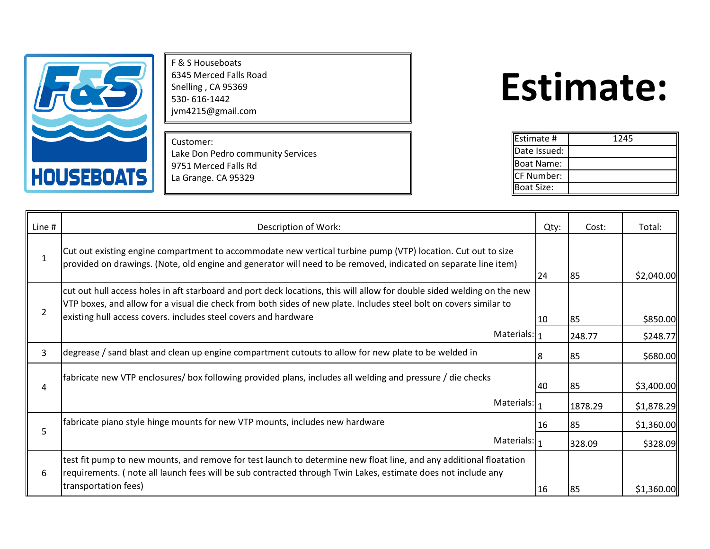

F & S Houseboats 6345 Merced Falls Road Snelling , CA 95369 530- 616-1442 jvm4215@gmail.com

Customer: Lake Don Pedro community Services 9751 Merced Falls Rd La Grange. CA 95329

## **Estimate:**

| Estimate #        | 1245 |
|-------------------|------|
| Date Issued:      |      |
| Boat Name:        |      |
| <b>CF Number:</b> |      |
| <b>Boat Size:</b> |      |

| Line #       | Description of Work:                                                                                                                                                                                                                                                                                             | Qty: | Cost:   | Total:     |
|--------------|------------------------------------------------------------------------------------------------------------------------------------------------------------------------------------------------------------------------------------------------------------------------------------------------------------------|------|---------|------------|
| $\mathbf{1}$ | Cut out existing engine compartment to accommodate new vertical turbine pump (VTP) location. Cut out to size<br>(provided on drawings. (Note, old engine and generator will need to be removed, indicated on separate line item                                                                                  | 24   | 85      | \$2,040.00 |
| 2            | cut out hull access holes in aft starboard and port deck locations, this will allow for double sided welding on the new<br>VTP boxes, and allow for a visual die check from both sides of new plate. Includes steel bolt on covers similar to<br>existing hull access covers. includes steel covers and hardware | 10   | 85      | \$850.00   |
|              | Materials: 1                                                                                                                                                                                                                                                                                                     |      | 248.77  | \$248.77   |
| 3            | degrease / sand blast and clean up engine compartment cutouts to allow for new plate to be welded in                                                                                                                                                                                                             |      | 85      | \$680.00   |
| 4            | fabricate new VTP enclosures/ box following provided plans, includes all welding and pressure / die checks                                                                                                                                                                                                       | 40   | 85      | \$3,400.00 |
|              | Materials: $I_1$                                                                                                                                                                                                                                                                                                 |      | 1878.29 | \$1,878.29 |
| 5            | fabricate piano style hinge mounts for new VTP mounts, includes new hardware                                                                                                                                                                                                                                     | 16   | 85      | \$1,360.00 |
|              | Materials: $I_1$                                                                                                                                                                                                                                                                                                 |      | 328.09  | \$328.09   |
| 6            | test fit pump to new mounts, and remove for test launch to determine new float line, and any additional floatation<br>requirements. (note all launch fees will be sub contracted through Twin Lakes, estimate does not include any                                                                               |      |         |            |
|              | transportation fees)                                                                                                                                                                                                                                                                                             | 16   | 85      | \$1,360.00 |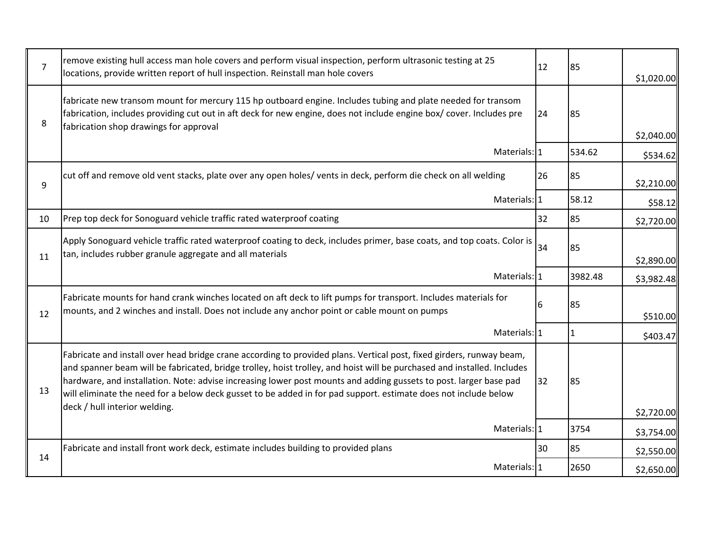| $\overline{7}$ | remove existing hull access man hole covers and perform visual inspection, perform ultrasonic testing at 25<br>locations, provide written report of hull inspection. Reinstall man hole covers                                                                                                                                                                                                                                                                                          | 12 | 85             | \$1,020.00 |
|----------------|-----------------------------------------------------------------------------------------------------------------------------------------------------------------------------------------------------------------------------------------------------------------------------------------------------------------------------------------------------------------------------------------------------------------------------------------------------------------------------------------|----|----------------|------------|
| 8              | fabricate new transom mount for mercury 115 hp outboard engine. Includes tubing and plate needed for transom<br>fabrication, includes providing cut out in aft deck for new engine, does not include engine box/ cover. Includes pre<br>fabrication shop drawings for approval                                                                                                                                                                                                          | 24 | 85             |            |
|                |                                                                                                                                                                                                                                                                                                                                                                                                                                                                                         |    |                | \$2,040.00 |
|                | Materials: 1                                                                                                                                                                                                                                                                                                                                                                                                                                                                            |    | 534.62         | \$534.62   |
| 9              | cut off and remove old vent stacks, plate over any open holes/ vents in deck, perform die check on all welding                                                                                                                                                                                                                                                                                                                                                                          | 26 | 85             | \$2,210.00 |
|                | Materials: 1                                                                                                                                                                                                                                                                                                                                                                                                                                                                            |    | 58.12          | \$58.12    |
| 10             | Prep top deck for Sonoguard vehicle traffic rated waterproof coating                                                                                                                                                                                                                                                                                                                                                                                                                    | 32 | 85             | \$2,720.00 |
| 11             | Apply Sonoguard vehicle traffic rated waterproof coating to deck, includes primer, base coats, and top coats. Color is<br>tan, includes rubber granule aggregate and all materials                                                                                                                                                                                                                                                                                                      | 34 | 85             |            |
|                | Materials: 1                                                                                                                                                                                                                                                                                                                                                                                                                                                                            |    | 3982.48        | \$2,890.00 |
|                |                                                                                                                                                                                                                                                                                                                                                                                                                                                                                         |    |                | \$3,982.48 |
| 12             | Fabricate mounts for hand crank winches located on aft deck to lift pumps for transport. Includes materials for<br>mounts, and 2 winches and install. Does not include any anchor point or cable mount on pumps                                                                                                                                                                                                                                                                         |    | 85             | \$510.00   |
|                | Materials: 1                                                                                                                                                                                                                                                                                                                                                                                                                                                                            |    | $\overline{1}$ | \$403.47   |
| 13             | Fabricate and install over head bridge crane according to provided plans. Vertical post, fixed girders, runway beam,<br>and spanner beam will be fabricated, bridge trolley, hoist trolley, and hoist will be purchased and installed. Includes<br>hardware, and installation. Note: advise increasing lower post mounts and adding gussets to post. larger base pad<br>will eliminate the need for a below deck gusset to be added in for pad support. estimate does not include below | 32 | 85             |            |
|                | deck / hull interior welding.                                                                                                                                                                                                                                                                                                                                                                                                                                                           |    |                | \$2,720.00 |
|                | Materials: 1                                                                                                                                                                                                                                                                                                                                                                                                                                                                            |    | 3754           | \$3,754.00 |
| 14             | Fabricate and install front work deck, estimate includes building to provided plans                                                                                                                                                                                                                                                                                                                                                                                                     | 30 | 85             | \$2,550.00 |
|                | Materials: 1                                                                                                                                                                                                                                                                                                                                                                                                                                                                            |    | 2650           | \$2,650.00 |